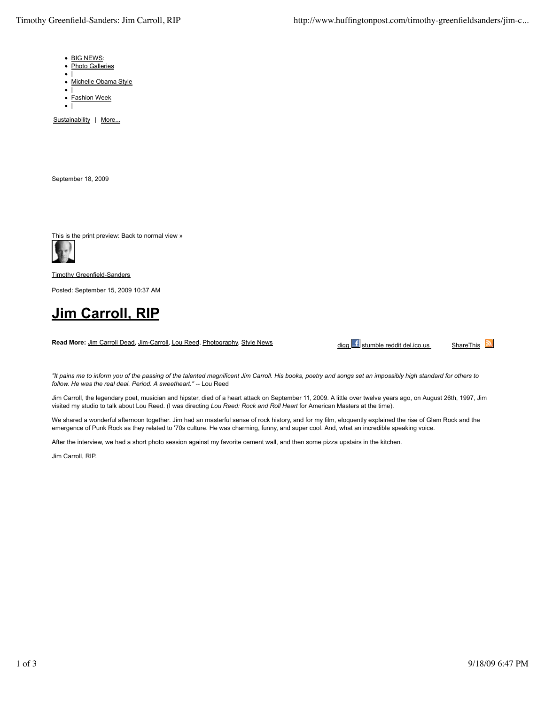- BIG NEWS:
- Photo Galleries
- $\bullet$ |
- $\bullet$ Michelle Obama Style
- $\bullet$ |  $\bullet$ Fashion Week
- $\bullet$  |

Sustainability | More...

September 18, 2009

This is the print preview: Back to normal view »



Timothy Greenfield-Sanders

Posted: September 15, 2009 10:37 AM

## **Jim Carroll, RIP**

**Read More:** Jim Carroll Dead, Jim-Carroll, Lou Reed, Photography, Style News

digg f stumble reddit del.ico.us ShareThis

*"It pains me to inform you of the passing of the talented magnificent Jim Carroll. His books, poetry and songs set an impossibly high standard for others to follow. He was the real deal. Period. A sweetheart."* -- Lou Reed

Jim Carroll, the legendary poet, musician and hipster, died of a heart attack on September 11, 2009. A little over twelve years ago, on August 26th, 1997, Jim visited my studio to talk about Lou Reed. (I was directing *Lou Reed: Rock and Roll Heart* for American Masters at the time).

We shared a wonderful afternoon together. Jim had an masterful sense of rock history, and for my film, eloquently explained the rise of Glam Rock and the emergence of Punk Rock as they related to '70s culture. He was charming, funny, and super cool. And, what an incredible speaking voice.

After the interview, we had a short photo session against my favorite cement wall, and then some pizza upstairs in the kitchen.

Jim Carroll, RIP.